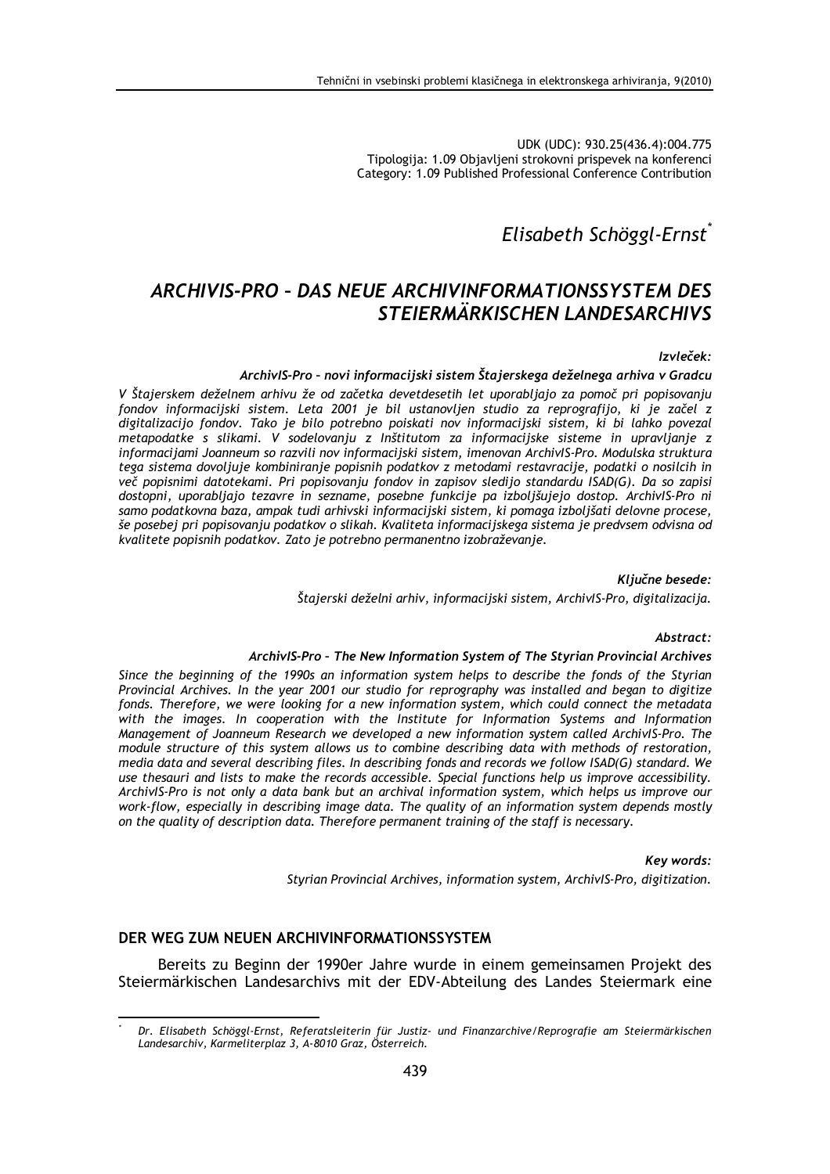UDK (UDC): 930.25(436.4):004.775 Tipologija: 1.09 Objavljeni strokovni prispevek na konferenci Category: 1.09 Published Professional Conference Contribution

# Elisabeth Schöggl-Ernst<sup>\*</sup>

# ARCHIVIS-PRO - DAS NEUE ARCHIVINFORMATIONSSYSTEM DES STEIERMÄRKISCHEN LANDESARCHIVS

#### Izvleček:

#### ArchivIS-Pro - novi informacijski sistem Štajerskega deželnega arhiva v Gradcu

V Štajerskem deželnem arhivu že od začetka devetdesetih let uporabljajo za pomoč pri popisovanju fondov informacijski sistem. Leta 2001 je bil ustanovljen studio za reprografijo, ki je začel z digitalizacijo fondov. Tako je bilo potrebno poiskati nov informacijski sistem, ki bi lahko povezal metapodatke s slikami. V sodelovanju z Inštitutom za informacijske sisteme in upravljanje z informacijami Joanneum so razvili nov informacijski sistem, imenovan ArchivlS-Pro. Modulska struktura tega sistema dovoljuje kombiniranje popisnih podatkov z metodami restavracije, podatki o nosilcih in več popisnimi datotekami. Pri popisovanju fondov in zapisov sledijo standardu ISAD(G). Da so zapisi dostopni, uporabljajo tezavre in sezname, posebne funkcije pa izboljšujejo dostop. ArchivlS-Pro ni samo podatkovna baza, ampak tudi arhivski informacijski sistem, ki pomaga izboljšati delovne procese, še posebej pri popisovanju podatkov o slikah. Kvaliteta informacijskega sistema je predvsem odvisna od kvalitete popisnih podatkov. Zato je potrebno permanentno izobraževanje.

> Ključne besede: Štajerski deželni arhiv, informacijski sistem, ArchivlS-Pro, digitalizacija.

# Abstract:

#### ArchivIS-Pro - The New Information System of The Styrian Provincial Archives

Since the beginning of the 1990s an information system helps to describe the fonds of the Styrian Provincial Archives. In the year 2001 our studio for reprography was installed and began to digitize fonds. Therefore, we were looking for a new information system, which could connect the metadata with the images. In cooperation with the Institute for Information Systems and Information Management of Joanneum Research we developed a new information system called Archivis-Pro. The module structure of this system allows us to combine describing data with methods of restoration, media data and several describing files. In describing fonds and records we follow ISAD(G) standard. We use thesauri and lists to make the records accessible. Special functions help us improve accessibility. ArchivlS-Pro is not only a data bank but an archival information system, which helps us improve our work-flow, especially in describing image data. The quality of an information system depends mostly on the quality of description data. Therefore permanent training of the staff is necessary.

#### Key words:

Styrian Provincial Archives, information system, ArchivIS-Pro, digitization.

#### DER WEG ZUM NEUEN ARCHIVINFORMATIONSSYSTEM

Bereits zu Beginn der 1990er Jahre wurde in einem gemeinsamen Projekt des Steiermärkischen Landesarchivs mit der EDV-Abteilung des Landes Steiermark eine

Dr. Elisabeth Schöggl-Ernst, Referatsleiterin für Justiz- und Finanzarchive/Reprografie am Steiermärkischen Landesarchiv, Karmeliterplaz 3, A-8010 Graz, Österreich.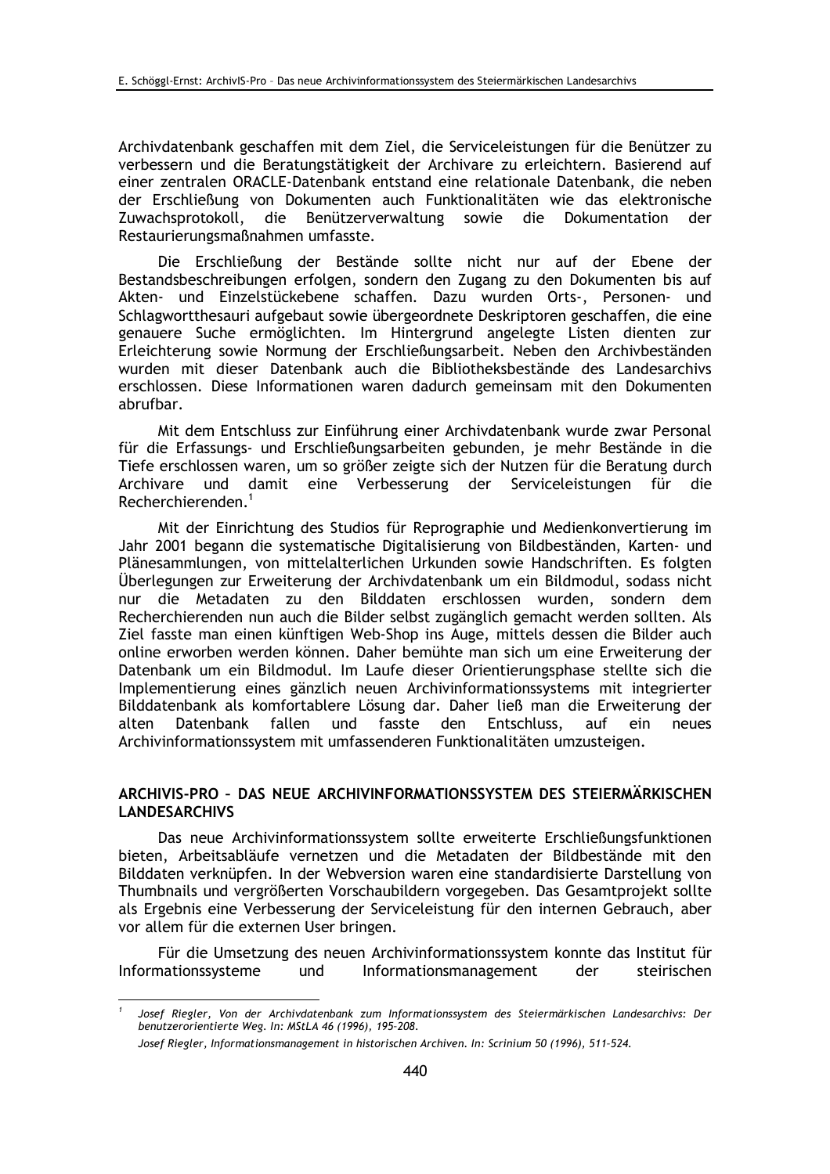Archivdatenbank geschaffen mit dem Ziel, die Serviceleistungen für die Benützer zu verbessern und die Beratungstätigkeit der Archivare zu erleichtern. Basierend auf einer zentralen ORACLE-Datenbank entstand eine relationale Datenbank, die neben der Erschließung von Dokumenten auch Funktionalitäten wie das elektronische Zuwachsprotokoll, die Benützerverwaltung sowie die Dokumentation der Restaurierungsmaßnahmen umfasste.

Die Erschließung der Bestände sollte nicht nur auf der Ebene der Bestandsbeschreibungen erfolgen, sondern den Zugang zu den Dokumenten bis auf Akten- und Einzelstückebene schaffen. Dazu wurden Orts-, Personen- und Schlagwortthesauri aufgebaut sowie übergeordnete Deskriptoren geschaffen, die eine genauere Suche ermöglichten. Im Hintergrund angelegte Listen dienten zur Erleichterung sowie Normung der Erschließungsarbeit. Neben den Archivbeständen wurden mit dieser Datenbank auch die Bibliotheksbestände des Landesarchivs erschlossen. Diese Informationen waren dadurch gemeinsam mit den Dokumenten abrufbar.

Mit dem Entschluss zur Einführung einer Archivdatenbank wurde zwar Personal für die Erfassungs- und Erschließungsarbeiten gebunden, je mehr Bestände in die Tiefe erschlossen waren, um so größer zeigte sich der Nutzen für die Beratung durch Archivare und damit eine Verbesserung der Serviceleistungen für die Recherchierenden<sup>1</sup>

Mit der Einrichtung des Studios für Reprographie und Medienkonvertierung im Jahr 2001 begann die systematische Digitalisierung von Bildbeständen, Karten- und Plänesammlungen, von mittelalterlichen Urkunden sowie Handschriften. Es folgten Überlegungen zur Erweiterung der Archivdatenbank um ein Bildmodul, sodass nicht nur die Metadaten zu den Bilddaten erschlossen wurden, sondern dem Recherchierenden nun auch die Bilder selbst zugänglich gemacht werden sollten. Als Ziel fasste man einen künftigen Web-Shop ins Auge, mittels dessen die Bilder auch online erworben werden können. Daher bemühte man sich um eine Erweiterung der Datenbank um ein Bildmodul. Im Laufe dieser Orientierungsphase stellte sich die Implementierung eines gänzlich neuen Archivinformationssystems mit integrierter Bilddatenbank als komfortablere Lösung dar. Daher ließ man die Erweiterung der Datenbank und fasste den alten fallen Entschluss. auf ein neues Archivinformationssystem mit umfassenderen Funktionalitäten umzusteigen.

## ARCHIVIS-PRO - DAS NEUE ARCHIVINFORMATIONSSYSTEM DES STEIERMÄRKISCHEN **LANDESARCHIVS**

Das neue Archivinformationssystem sollte erweiterte Erschließungsfunktionen bieten, Arbeitsabläufe vernetzen und die Metadaten der Bildbestände mit den Bilddaten verknüpfen. In der Webversion waren eine standardisierte Darstellung von Thumbnails und vergrößerten Vorschaubildern vorgegeben. Das Gesamtprojekt sollte als Ergebnis eine Verbesserung der Serviceleistung für den internen Gebrauch, aber vor allem für die externen User bringen.

Für die Umsetzung des neuen Archivinformationssystem konnte das Institut für Informationssysteme Informationsmanagement steirischen und der

Josef Riegler, Von der Archivdatenbank zum Informationssystem des Steiermärkischen Landesarchivs: Der benutzerorientierte Weg. In: MStLA 46 (1996), 195-208.

Josef Riegler, Informationsmanagement in historischen Archiven. In: Scrinium 50 (1996), 511-524.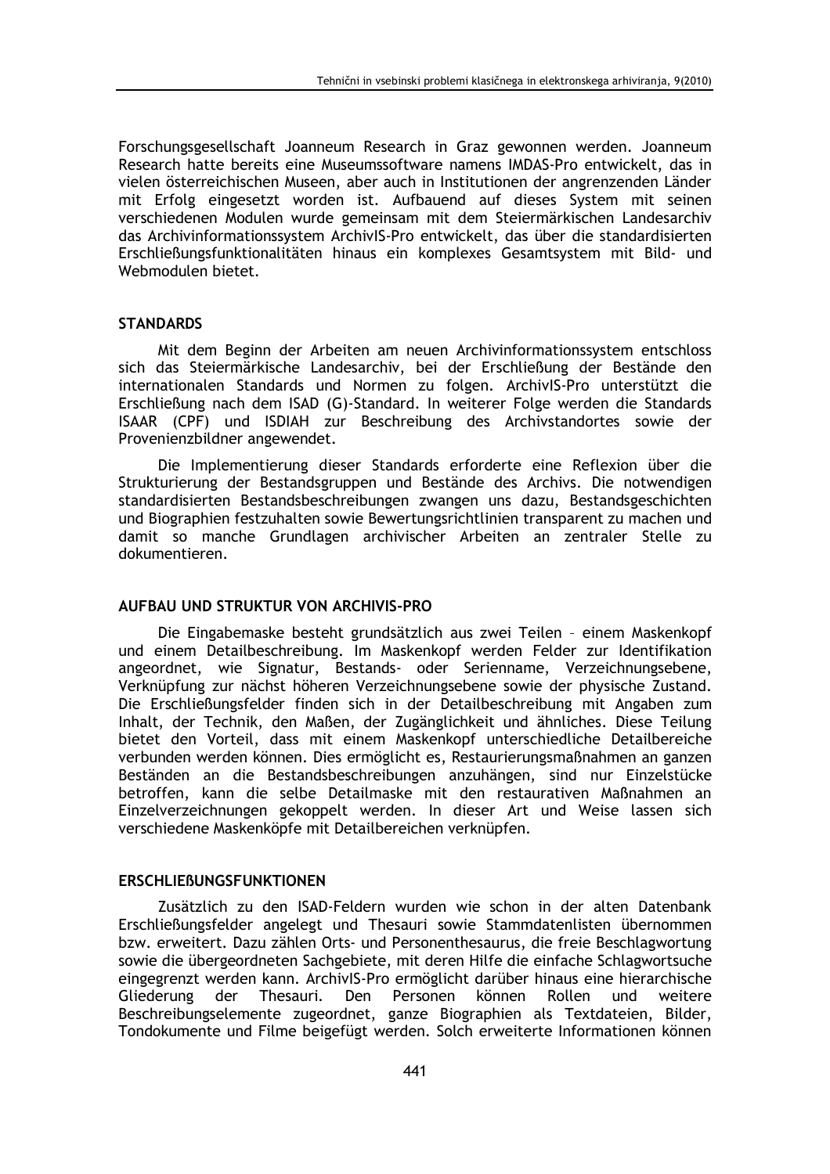Forschungsgesellschaft Joanneum Research in Graz gewonnen werden. Joanneum Research hatte bereits eine Museumssoftware namens IMDAS-Pro entwickelt, das in vielen österreichischen Museen, aber auch in Institutionen der angrenzenden Länder mit Erfolg eingesetzt worden ist. Aufbauend auf dieses System mit seinen verschiedenen Modulen wurde gemeinsam mit dem Steiermärkischen Landesarchiv das Archivinformationssystem ArchivIS-Pro entwickelt, das über die standardisierten Erschließungsfunktionalitäten hinaus ein komplexes Gesamtsystem mit Bild- und Webmodulen bietet.

## **STANDARDS**

Mit dem Beginn der Arbeiten am neuen Archivinformationssystem entschloss sich das Steiermärkische Landesarchiv, bei der Erschließung der Bestände den internationalen Standards und Normen zu folgen. ArchivIS-Pro unterstützt die Erschließung nach dem ISAD (G)-Standard. In weiterer Folge werden die Standards ISAAR (CPF) und ISDIAH zur Beschreibung des Archivstandortes sowie der Provenienzbildner angewendet.

Die Implementierung dieser Standards erforderte eine Reflexion über die Strukturierung der Bestandsgruppen und Bestände des Archivs. Die notwendigen standardisierten Bestandsbeschreibungen zwangen uns dazu, Bestandsgeschichten und Biographien festzuhalten sowie Bewertungsrichtlinien transparent zu machen und damit so manche Grundlagen archivischer Arbeiten an zentraler Stelle zu dokumentieren.

#### AUFBAU UND STRUKTUR VON ARCHIVIS-PRO

Die Eingabemaske besteht grundsätzlich aus zwei Teilen - einem Maskenkopf und einem Detailbeschreibung. Im Maskenkopf werden Felder zur Identifikation angeordnet, wie Signatur, Bestands- oder Serienname, Verzeichnungsebene, Verknüpfung zur nächst höheren Verzeichnungsebene sowie der physische Zustand. Die Erschließungsfelder finden sich in der Detailbeschreibung mit Angaben zum Inhalt, der Technik, den Maßen, der Zugänglichkeit und ähnliches. Diese Teilung bietet den Vorteil, dass mit einem Maskenkopf unterschiedliche Detailbereiche verbunden werden können. Dies ermöglicht es, Restaurierungsmaßnahmen an ganzen Beständen an die Bestandsbeschreibungen anzuhängen, sind nur Einzelstücke betroffen, kann die selbe Detailmaske mit den restaurativen Maßnahmen an Einzelverzeichnungen gekoppelt werden. In dieser Art und Weise lassen sich verschiedene Maskenköpfe mit Detailbereichen verknüpfen.

## **ERSCHLIEBUNGSFUNKTIONEN**

Zusätzlich zu den ISAD-Feldern wurden wie schon in der alten Datenbank Erschließungsfelder angelegt und Thesauri sowie Stammdatenlisten übernommen bzw. erweitert. Dazu zählen Orts- und Personenthesaurus, die freie Beschlagwortung sowie die übergeordneten Sachgebiete, mit deren Hilfe die einfache Schlagwortsuche eingegrenzt werden kann. ArchivlS-Pro ermöglicht darüber hinaus eine hierarchische Den Personen Gliederung der Thesauri. können Rollen und weitere Beschreibungselemente zugeordnet, ganze Biographien als Textdateien, Bilder, Tondokumente und Filme beigefügt werden. Solch erweiterte Informationen können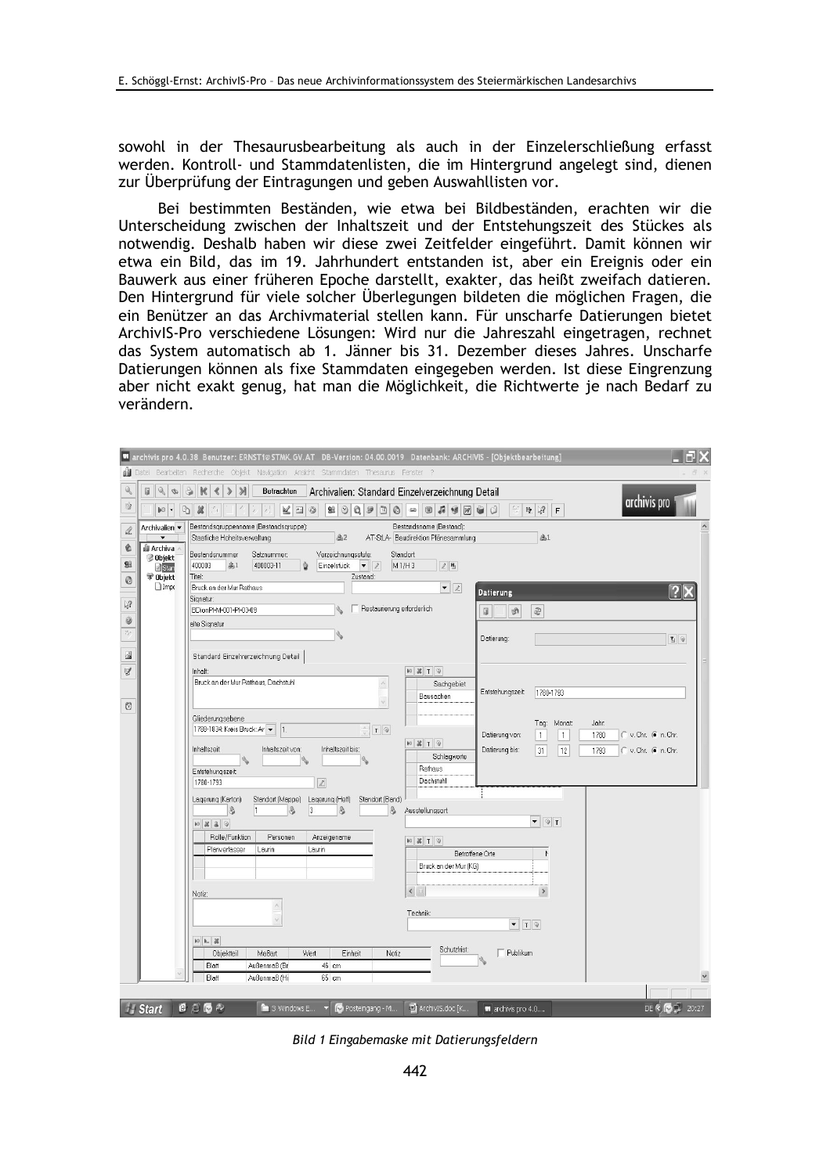sowohl in der Thesaurusbearbeitung als auch in der Einzelerschließung erfasst werden. Kontroll- und Stammdatenlisten, die im Hintergrund angelegt sind, dienen zur Überprüfung der Eintragungen und geben Auswahllisten vor.

Bei bestimmten Beständen, wie etwa bei Bildbeständen, erachten wir die Unterscheidung zwischen der Inhaltszeit und der Entstehungszeit des Stückes als notwendig. Deshalb haben wir diese zwei Zeitfelder eingeführt. Damit können wir etwa ein Bild, das im 19. Jahrhundert entstanden ist, aber ein Ereignis oder ein Bauwerk aus einer früheren Epoche darstellt, exakter, das heißt zweifach datieren. Den Hintergrund für viele solcher Überlegungen bildeten die möglichen Fragen, die ein Benützer an das Archivmaterial stellen kann. Für unscharfe Datierungen bietet ArchivIS-Pro verschiedene Lösungen: Wird nur die Jahreszahl eingetragen, rechnet das System automatisch ab 1. Jänner bis 31. Dezember dieses Jahres. Unscharfe Datierungen können als fixe Stammdaten eingegeben werden. Ist diese Eingrenzung aber nicht exakt genug, hat man die Möglichkeit, die Richtwerte je nach Bedarf zu verändern.

|                  |                                                                                                                                                                              | 10 archivis pro 4.0.38 Benutzer: ERNST1@STMK.GV.AT DB-Version: 04.00.0019 Datenbank: ARCHIVIS - [Objektbearbeitung]                                                                   |                                                                |                                                                              |                                                            |  |
|------------------|------------------------------------------------------------------------------------------------------------------------------------------------------------------------------|---------------------------------------------------------------------------------------------------------------------------------------------------------------------------------------|----------------------------------------------------------------|------------------------------------------------------------------------------|------------------------------------------------------------|--|
|                  |                                                                                                                                                                              | Datei Bearbeiten Recherche Objekt Navigation Ansicht Stammdaten Thesaurus Fenster ?                                                                                                   |                                                                |                                                                              |                                                            |  |
| Q                | $\mathbb{Q}$<br>Ø<br>6<br>Archivalien: Standard Einzelverzeichnung Detail<br>$\mathcal{D}$<br>$\mathbb R$<br>$\varkappa$<br>Betrachten<br>∢<br>$\mathcal{P}$<br>archivis pro |                                                                                                                                                                                       |                                                                |                                                                              |                                                            |  |
| Ŵ                | $\begin{array}{c} \n\heartsuit \n\end{array}$<br>$\mathbf{0}$                                                                                                                | 显<br>V.<br>$\mathbb{A}$<br>$\odot$                                                                                                                                                    | $\blacksquare$                                                 | <b>啦 % F</b>                                                                 |                                                            |  |
| ól.<br>¢         | Archivalien v<br>di Archiva<br><b>Objekt</b><br><b>Z</b> Star<br>Objekt                                                                                                      | Bestandsqruppenname (Bestandsqruppe):<br>高2<br>Staatliche Hoheitsverwaltung                                                                                                           | Bestandsname (Bestand):<br>AT-StLA- Baudirektion Plänesammlung | $4$                                                                          |                                                            |  |
| 93<br>$^{\circ}$ |                                                                                                                                                                              | Bestandsnummer<br>Verzeichnungsstufe:<br>Standort:<br>Satznummer:<br>高1<br>400003<br>400003-11<br>Einzelstück<br>$\mathbf{v}$ 2<br>M1/H3<br>2 <sub>h</sub><br>ù<br>Titel:<br>Zustand: |                                                                |                                                                              |                                                            |  |
|                  | $\Box$ Impt                                                                                                                                                                  | Bruck an der Mur Rathaus                                                                                                                                                              | $\bullet$ 2                                                    | Datierung                                                                    |                                                            |  |
| $\frac{6}{3}$    |                                                                                                                                                                              | Signatur:<br>Restaurierung erforderlich<br>BDionPI-M-001-PI-03-09                                                                                                                     |                                                                | 回<br>$\mathbb{Q}$<br>圍                                                       |                                                            |  |
| 0                |                                                                                                                                                                              | alte Signatur                                                                                                                                                                         |                                                                |                                                                              |                                                            |  |
| P).              |                                                                                                                                                                              |                                                                                                                                                                                       |                                                                | Datierung:                                                                   | $\mathbf{L} \otimes$                                       |  |
| $\sqrt{2}$       |                                                                                                                                                                              | Standard Einzelverzeichnung Detail                                                                                                                                                    |                                                                |                                                                              |                                                            |  |
| $\mathbb N$      |                                                                                                                                                                              | Inhalt:<br>Bruck an der Mur Rathaus, Dachstuhl                                                                                                                                        | $\triangleright$ $\mathbb{Z}$ $\mathbb{Z}$                     |                                                                              |                                                            |  |
|                  |                                                                                                                                                                              |                                                                                                                                                                                       | Sachgebiet<br>Bausachen                                        | Entstehungszeit<br>1780-1793                                                 |                                                            |  |
| $\circledS$      |                                                                                                                                                                              |                                                                                                                                                                                       |                                                                |                                                                              |                                                            |  |
|                  |                                                                                                                                                                              | Gliederungsebene<br>1788-1834: Kreis Bruck: Ar  <br>$T$ $\odot$<br> 1                                                                                                                 |                                                                | Monat<br>Taq:                                                                | Jahr:                                                      |  |
|                  |                                                                                                                                                                              | Inhaltszeit<br>Inhaltszeit von:<br>Inhaltszeit bis:                                                                                                                                   | <b>90 器 T</b> 9                                                | Datierung von:<br>$\mathbf{1}$<br>$\mathbf{1}$<br>12<br>Datierung bis:<br>31 | 1780<br>C v. Chr. C n. Chr.<br>C v. Chr. G n. Chr.<br>1793 |  |
|                  |                                                                                                                                                                              |                                                                                                                                                                                       | Schlagworte                                                    |                                                                              |                                                            |  |
|                  |                                                                                                                                                                              | Entstehungszeit:<br>1780-1793<br>$\ell$                                                                                                                                               | Rathaus<br>Dachstuhl                                           |                                                                              |                                                            |  |
|                  |                                                                                                                                                                              | Lagerung (Karton)<br>Standort (Mappe)<br>Lagerung (Heft)<br>Standort (Band)                                                                                                           |                                                                |                                                                              |                                                            |  |
|                  |                                                                                                                                                                              | \$<br>8<br>\$<br>3<br>$\vert$ 3<br>11                                                                                                                                                 | Ausstellungsort:                                               |                                                                              |                                                            |  |
|                  |                                                                                                                                                                              | $10 \times 20$                                                                                                                                                                        |                                                                | $\bullet$ $\boxed{0}$ T                                                      |                                                            |  |
|                  |                                                                                                                                                                              | Rolle/Funktion<br>Personen<br>Anzeigename<br>Planverfasser<br>Laurin<br>Laurin                                                                                                        | <b>9 X T 9</b><br><b>Betroffene Orte</b>                       | Þ                                                                            |                                                            |  |
|                  |                                                                                                                                                                              |                                                                                                                                                                                       | Bruck an der Mur (KG)                                          |                                                                              |                                                            |  |
|                  |                                                                                                                                                                              |                                                                                                                                                                                       |                                                                |                                                                              |                                                            |  |
|                  |                                                                                                                                                                              | Notiz:                                                                                                                                                                                | $\blacktriangleleft$                                           | $\,$                                                                         |                                                            |  |
|                  |                                                                                                                                                                              |                                                                                                                                                                                       | Technik:                                                       |                                                                              |                                                            |  |
|                  |                                                                                                                                                                              |                                                                                                                                                                                       |                                                                | $\mathbf{v}$ $\mathbf{T}$ $\mathbf{0}$                                       |                                                            |  |
|                  |                                                                                                                                                                              | $10h - 36$<br>Objektteil<br>Maßart<br>Wert<br>Einheit<br>Notiz                                                                                                                        | Schutzfrist:                                                   | Publikum                                                                     |                                                            |  |
|                  |                                                                                                                                                                              | Außenmaß (Br<br>46 cm<br>Blatt                                                                                                                                                        |                                                                |                                                                              |                                                            |  |
|                  |                                                                                                                                                                              | Blatt<br>65 cm<br>Außenmaß (Hi                                                                                                                                                        |                                                                |                                                                              |                                                            |  |
|                  | <b>H</b> Start                                                                                                                                                               | $C \oplus C$<br>V C Posteingang - Mi<br>3 Windows E                                                                                                                                   | ArchivIS.doc [K                                                | archivis pro 4.0                                                             | DE < / 20:27                                               |  |

Bild 1 Eingabemaske mit Datierungsfeldern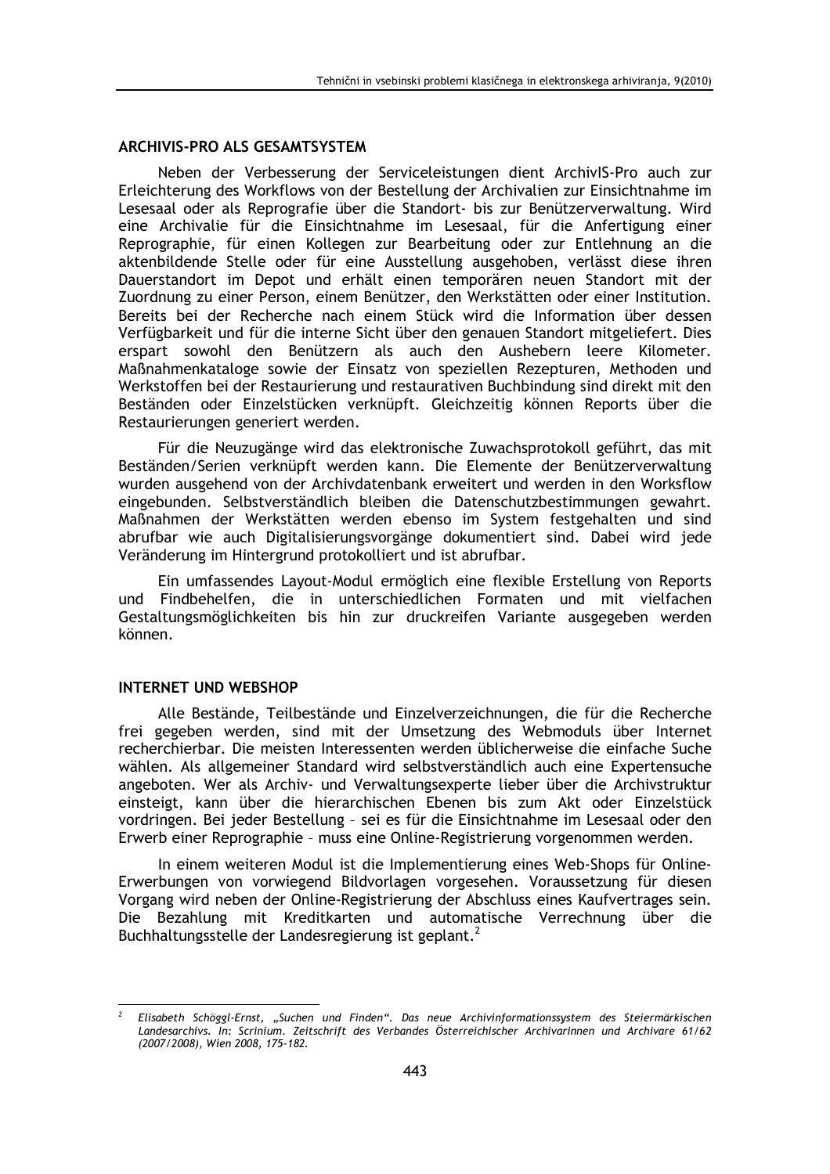## **ARCHIVIS-PRO ALS GESAMTSYSTEM**

Neben der Verbesserung der Serviceleistungen dient ArchivIS-Pro auch zur Erleichterung des Workflows von der Bestellung der Archivalien zur Einsichtnahme im Lesesaal oder als Reprografie über die Standort- bis zur Benützerverwaltung. Wird eine Archivalie für die Einsichtnahme im Lesesaal, für die Anfertigung einer Reprographie, für einen Kollegen zur Bearbeitung oder zur Entlehnung an die aktenbildende Stelle oder für eine Ausstellung ausgehoben, verlässt diese ihren Dauerstandort im Depot und erhält einen temporären neuen Standort mit der Zuordnung zu einer Person, einem Benützer, den Werkstätten oder einer Institution. Bereits bei der Recherche nach einem Stück wird die Information über dessen Verfügbarkeit und für die interne Sicht über den genauen Standort mitgeliefert. Dies erspart sowohl den Benützern als auch den Aushebern leere Kilometer. Maßnahmenkataloge sowie der Einsatz von speziellen Rezepturen, Methoden und Werkstoffen bei der Restaurierung und restaurativen Buchbindung sind direkt mit den Beständen oder Einzelstücken verknüpft. Gleichzeitig können Reports über die Restaurierungen generiert werden.

Für die Neuzugänge wird das elektronische Zuwachsprotokoll geführt, das mit Beständen/Serien verknüpft werden kann. Die Elemente der Benützerverwaltung wurden ausgehend von der Archivdatenbank erweitert und werden in den Worksflow eingebunden. Selbstverständlich bleiben die Datenschutzbestimmungen gewahrt. Maßnahmen der Werkstätten werden ebenso im System festgehalten und sind abrufbar wie auch Digitalisierungsvorgänge dokumentiert sind. Dabei wird jede Veränderung im Hintergrund protokolliert und ist abrufbar.

Ein umfassendes Lavout-Modul ermöglich eine flexible Erstellung von Reports und Findbehelfen, die in unterschiedlichen Formaten und mit vielfachen Gestaltungsmöglichkeiten bis hin zur druckreifen Variante ausgegeben werden können.

#### **INTERNET UND WEBSHOP**

Alle Bestände, Teilbestände und Einzelverzeichnungen, die für die Recherche frei gegeben werden, sind mit der Umsetzung des Webmoduls über Internet recherchierbar. Die meisten Interessenten werden üblicherweise die einfache Suche wählen. Als allgemeiner Standard wird selbstverständlich auch eine Expertensuche angeboten. Wer als Archiv- und Verwaltungsexperte lieber über die Archivstruktur einsteigt, kann über die hierarchischen Ebenen bis zum Akt oder Einzelstück vordringen. Bei jeder Bestellung - sei es für die Einsichtnahme im Lesesaal oder den Erwerb einer Reprographie - muss eine Online-Registrierung vorgenommen werden.

In einem weiteren Modul ist die Implementierung eines Web-Shops für Online-Erwerbungen von vorwiegend Bildvorlagen vorgesehen. Voraussetzung für diesen Vorgang wird neben der Online-Registrierung der Abschluss eines Kaufvertrages sein. Die Bezahlung mit Kreditkarten und automatische Verrechnung über die Buchhaltungsstelle der Landesregierung ist geplant.<sup>2</sup>

Elisabeth Schöggl-Ernst, "Suchen und Finden". Das neue Archivinformationssystem des Steiermärkischen Landesarchivs. In: Scrinium. Zeitschrift des Verbandes Österreichischer Archivarinnen und Archivare 61/62 (2007/2008), Wien 2008, 175-182.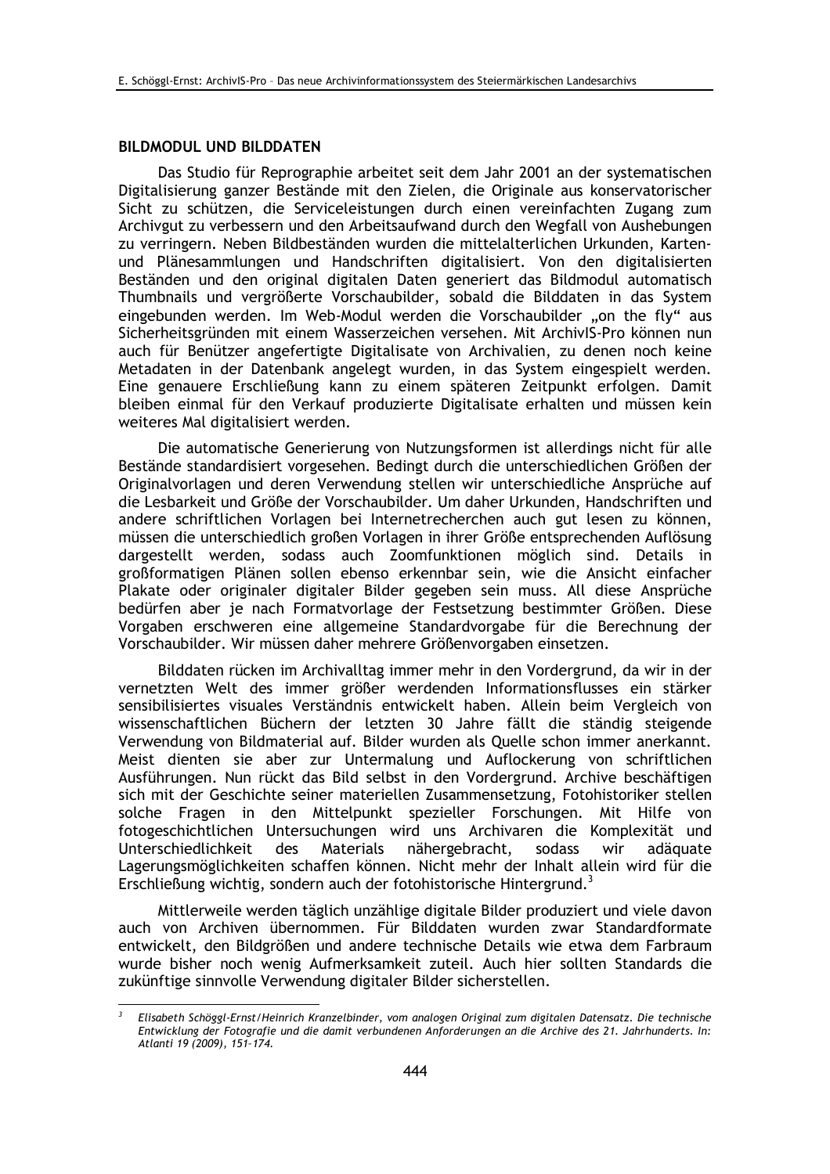## **BILDMODUL UND BILDDATEN**

Das Studio für Reprographie arbeitet seit dem Jahr 2001 an der systematischen Digitalisierung ganzer Bestände mit den Zielen, die Originale aus konservatorischer Sicht zu schützen, die Serviceleistungen durch einen vereinfachten Zugang zum Archivgut zu verbessern und den Arbeitsaufwand durch den Wegfall von Aushebungen zu verringern. Neben Bildbeständen wurden die mittelalterlichen Urkunden, Kartenund Plänesammlungen und Handschriften digitalisiert. Von den digitalisierten Beständen und den original digitalen Daten generiert das Bildmodul automatisch Thumbnails und vergrößerte Vorschaubilder, sobald die Bilddaten in das System eingebunden werden. Im Web-Modul werden die Vorschaubilder "on the fly" aus Sicherheitsgründen mit einem Wasserzeichen versehen. Mit ArchivIS-Pro können nun auch für Benützer angefertigte Digitalisate von Archivalien, zu denen noch keine Metadaten in der Datenbank angelegt wurden, in das System eingespielt werden. Eine genauere Erschließung kann zu einem späteren Zeitpunkt erfolgen. Damit bleiben einmal für den Verkauf produzierte Digitalisate erhalten und müssen kein weiteres Mal digitalisiert werden.

Die automatische Generierung von Nutzungsformen ist allerdings nicht für alle Bestände standardisiert vorgesehen. Bedingt durch die unterschiedlichen Größen der Originalvorlagen und deren Verwendung stellen wir unterschiedliche Ansprüche auf die Lesbarkeit und Größe der Vorschaubilder. Um daher Urkunden, Handschriften und andere schriftlichen Vorlagen bei Internetrecherchen auch gut lesen zu können, müssen die unterschiedlich großen Vorlagen in ihrer Größe entsprechenden Auflösung dargestellt werden, sodass auch Zoomfunktionen möglich sind. Details in großformatigen Plänen sollen ebenso erkennbar sein, wie die Ansicht einfacher Plakate oder originaler digitaler Bilder gegeben sein muss. All diese Ansprüche bedürfen aber je nach Formatvorlage der Festsetzung bestimmter Größen. Diese Vorgaben erschweren eine allgemeine Standardvorgabe für die Berechnung der Vorschaubilder. Wir müssen daher mehrere Größenvorgaben einsetzen.

Bilddaten rücken im Archivalltag immer mehr in den Vordergrund, da wir in der vernetzten Welt des immer größer werdenden Informationsflusses ein stärker sensibilisiertes visuales Verständnis entwickelt haben. Allein beim Vergleich von wissenschaftlichen Büchern der letzten 30 Jahre fällt die ständig steigende Verwendung von Bildmaterial auf. Bilder wurden als Quelle schon immer anerkannt. Meist dienten sie aber zur Untermalung und Auflockerung von schriftlichen Ausführungen. Nun rückt das Bild selbst in den Vordergrund. Archive beschäftigen sich mit der Geschichte seiner materiellen Zusammensetzung, Fotohistoriker stellen solche Fragen in den Mittelpunkt spezieller Forschungen. Mit Hilfe von fotogeschichtlichen Untersuchungen wird uns Archivaren die Komplexität und des Materials nähergebracht. sodass Unterschiedlichkeit wir adäguate Lagerungsmöglichkeiten schaffen können. Nicht mehr der Inhalt allein wird für die Erschließung wichtig, sondern auch der fotohistorische Hintergrund.<sup>3</sup>

Mittlerweile werden täglich unzählige digitale Bilder produziert und viele davon auch von Archiven übernommen. Für Bilddaten wurden zwar Standardformate entwickelt, den Bildgrößen und andere technische Details wie etwa dem Farbraum wurde bisher noch wenig Aufmerksamkeit zuteil. Auch hier sollten Standards die zukünftige sinnvolle Verwendung digitaler Bilder sicherstellen.

Elisabeth Schöggl-Ernst/Heinrich Kranzelbinder, vom analogen Original zum digitalen Datensatz. Die technische Entwicklung der Fotografie und die damit verbundenen Anforderungen an die Archive des 21. Jahrhunderts. In: Atlanti 19 (2009), 151-174.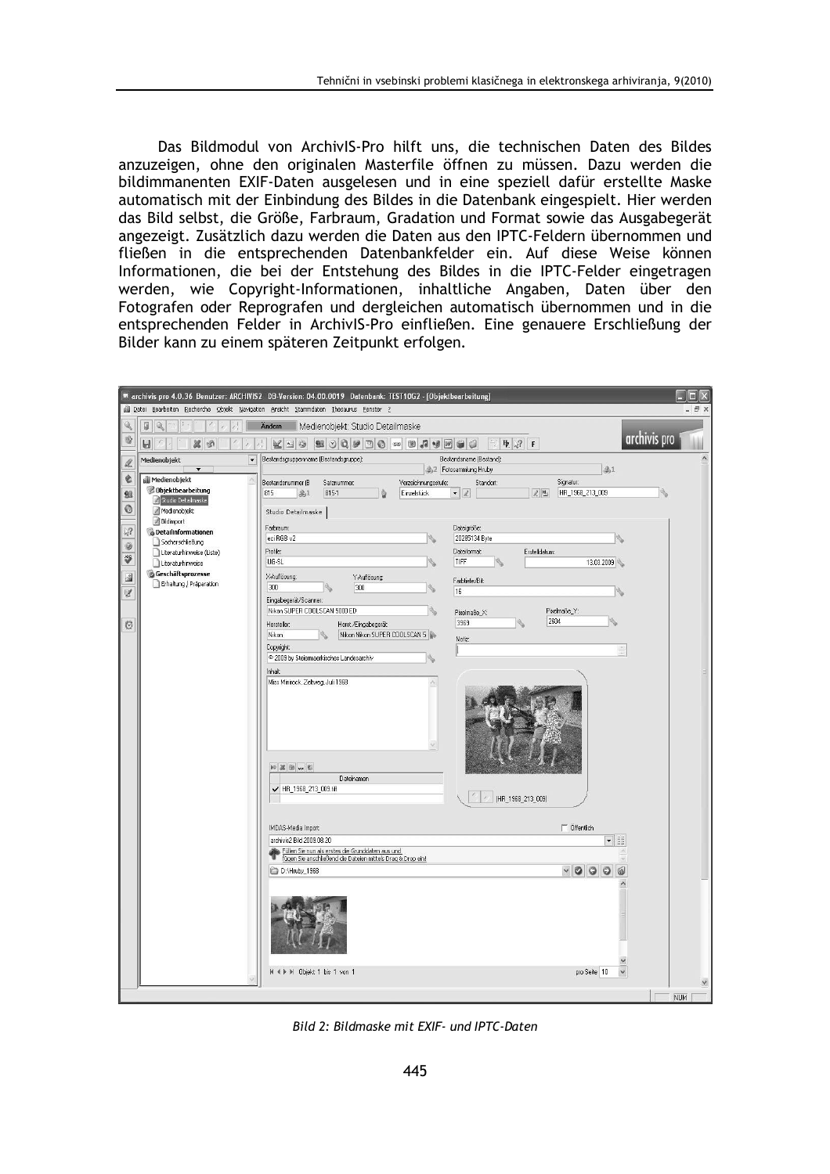Das Bildmodul von ArchivIS-Pro hilft uns, die technischen Daten des Bildes anzuzeigen, ohne den originalen Masterfile öffnen zu müssen. Dazu werden die bildimmanenten EXIF-Daten ausgelesen und in eine speziell dafür erstellte Maske automatisch mit der Einbindung des Bildes in die Datenbank eingespielt. Hier werden das Bild selbst, die Größe, Farbraum, Gradation und Format sowie das Ausgabegerät angezeigt. Zusätzlich dazu werden die Daten aus den IPTC-Feldern übernommen und fließen in die entsprechenden Datenbankfelder ein. Auf diese Weise können Informationen, die bei der Entstehung des Bildes in die IPTC-Felder eingetragen werden, wie Copyright-Informationen, inhaltliche Angaben, Daten über den Fotografen oder Reprografen und dergleichen automatisch übernommen und in die entsprechenden Felder in ArchivlS-Pro einfließen. Eine genauere Erschließung der Bilder kann zu einem späteren Zeitpunkt erfolgen.

| archivis pro 4.0.36 Benutzer: ARCHIVIS2 DB-Version: 04.00.0019 Datenbank: TEST10G2 - [Objektbearbeitung] |                                                                                                                         |                                                                                                                            |            |  |  |  |  |  |
|----------------------------------------------------------------------------------------------------------|-------------------------------------------------------------------------------------------------------------------------|----------------------------------------------------------------------------------------------------------------------------|------------|--|--|--|--|--|
| Bull Datei Bearbeiten Recherche Objekt Navigation Ansicht Stammdaten Thesaurus Fenster ?<br>a x          |                                                                                                                         |                                                                                                                            |            |  |  |  |  |  |
| $\mathbb{Q}$                                                                                             | ū                                                                                                                       | Medienobjekt: Studio Detailmaske<br><b>Andern</b>                                                                          |            |  |  |  |  |  |
| $\vec{v}$                                                                                                | archivis pro<br><b>20050000000</b><br>「五 学<br>$\alpha$<br>W<br>$\mathsf{F}$<br>Ы<br>$\odot$<br>$\sqrt{2}$<br><b>Gil</b> |                                                                                                                            |            |  |  |  |  |  |
| dh.                                                                                                      | Medienobjekt<br>$\overline{\phantom{0}}$                                                                                | Bestandsgruppenname (Bestandsgruppe):<br>Bestandsname (Bestand):<br>41<br>42 Fotosammlung Hruby                            | ۸          |  |  |  |  |  |
| €                                                                                                        | Medienobjekt                                                                                                            | Bestandsnummer (B<br>Signatur:<br>Satznummer:<br>Verzeichnungsstufe:<br>Standort:                                          |            |  |  |  |  |  |
| 93                                                                                                       | Objektbearbeitung                                                                                                       | HR_1968_213_009<br>815-1<br>815<br>高1<br>Einzelstück<br>2 <sub>h</sub><br>$\bullet$ 2<br>ō                                 |            |  |  |  |  |  |
| $\circ$                                                                                                  | 2 Studio Detailmaske                                                                                                    |                                                                                                                            |            |  |  |  |  |  |
|                                                                                                          | Medienobjekt<br>Bildimport                                                                                              | Studio Detailmaske                                                                                                         |            |  |  |  |  |  |
| $\frac{1}{6}$                                                                                            | <b>B</b> Detailinformationen                                                                                            | Dateigröße:<br>Farbraum:                                                                                                   |            |  |  |  |  |  |
| 0                                                                                                        | Sacherschließung                                                                                                        | eci RGB v2<br>20285134 Byte<br>                                                                                            |            |  |  |  |  |  |
| ₩                                                                                                        | Literaturhinweise (Liste)<br>Literaturhinweise                                                                          | Profile:<br>Dateiformat:<br>Erstelldatum:<br>UG-SL<br>TIFF<br>13.03.2009                                                   |            |  |  |  |  |  |
| $\mathbb{R}$                                                                                             | <b>Geschäftsprozesse</b>                                                                                                | X-Auflösung:<br>Y-Auflösung:                                                                                               |            |  |  |  |  |  |
|                                                                                                          | Erhaltung / Präparation                                                                                                 | Farbtiefe/Bit:<br>300<br>300                                                                                               |            |  |  |  |  |  |
| V                                                                                                        |                                                                                                                         | 16<br>Eingabegerät/Scanner:                                                                                                |            |  |  |  |  |  |
|                                                                                                          |                                                                                                                         | Nikon SUPER COOLSCAN 5000 ED<br>Pixelmaße Y:<br>Pixelmaße X:                                                               |            |  |  |  |  |  |
| $\circ$                                                                                                  |                                                                                                                         | 2604<br>3969<br>Herst./Eingabegerät:<br>Hersteller:                                                                        |            |  |  |  |  |  |
|                                                                                                          |                                                                                                                         | Nikon Nikon SUPER COOLSCAN 5<br>Nikon<br>Notiz:                                                                            |            |  |  |  |  |  |
|                                                                                                          |                                                                                                                         | Copyright:                                                                                                                 |            |  |  |  |  |  |
|                                                                                                          |                                                                                                                         | 2009 by Steiermaerkisches Landesarchiv                                                                                     |            |  |  |  |  |  |
|                                                                                                          |                                                                                                                         | Inhalt<br>Miss Minirock, Zeltweg, Juli 1968                                                                                |            |  |  |  |  |  |
|                                                                                                          |                                                                                                                         | 20 20 20 20 20                                                                                                             |            |  |  |  |  |  |
|                                                                                                          |                                                                                                                         | Dateinamen                                                                                                                 |            |  |  |  |  |  |
|                                                                                                          |                                                                                                                         | ← HR_1968_213_009.tiff                                                                                                     |            |  |  |  |  |  |
|                                                                                                          |                                                                                                                         | (HR_1968_213_009)                                                                                                          |            |  |  |  |  |  |
|                                                                                                          |                                                                                                                         | $\Box$ Öffentlich<br>IMDAS-Media Import:                                                                                   |            |  |  |  |  |  |
|                                                                                                          |                                                                                                                         | archivis2 Bild 2009.08.20<br>$\mathbf{v}$                                                                                  |            |  |  |  |  |  |
|                                                                                                          |                                                                                                                         | Füllen Sie nun als erstes die Grunddaten aus und<br><u>Fügen Sie anschließend die Dateien mittels Drag &amp; Drop ein!</u> |            |  |  |  |  |  |
|                                                                                                          |                                                                                                                         | $\vee$ 00<br>图<br>D:\Hruby_1968                                                                                            |            |  |  |  |  |  |
|                                                                                                          |                                                                                                                         |                                                                                                                            |            |  |  |  |  |  |
|                                                                                                          |                                                                                                                         |                                                                                                                            |            |  |  |  |  |  |
|                                                                                                          |                                                                                                                         | H 4 ▶ M Objekt 1 bis 1 von 1<br>pro Seite 10<br>$\checkmark$                                                               |            |  |  |  |  |  |
|                                                                                                          |                                                                                                                         |                                                                                                                            |            |  |  |  |  |  |
|                                                                                                          |                                                                                                                         |                                                                                                                            | <b>NUM</b> |  |  |  |  |  |

Bild 2: Bildmaske mit EXIF- und IPTC-Daten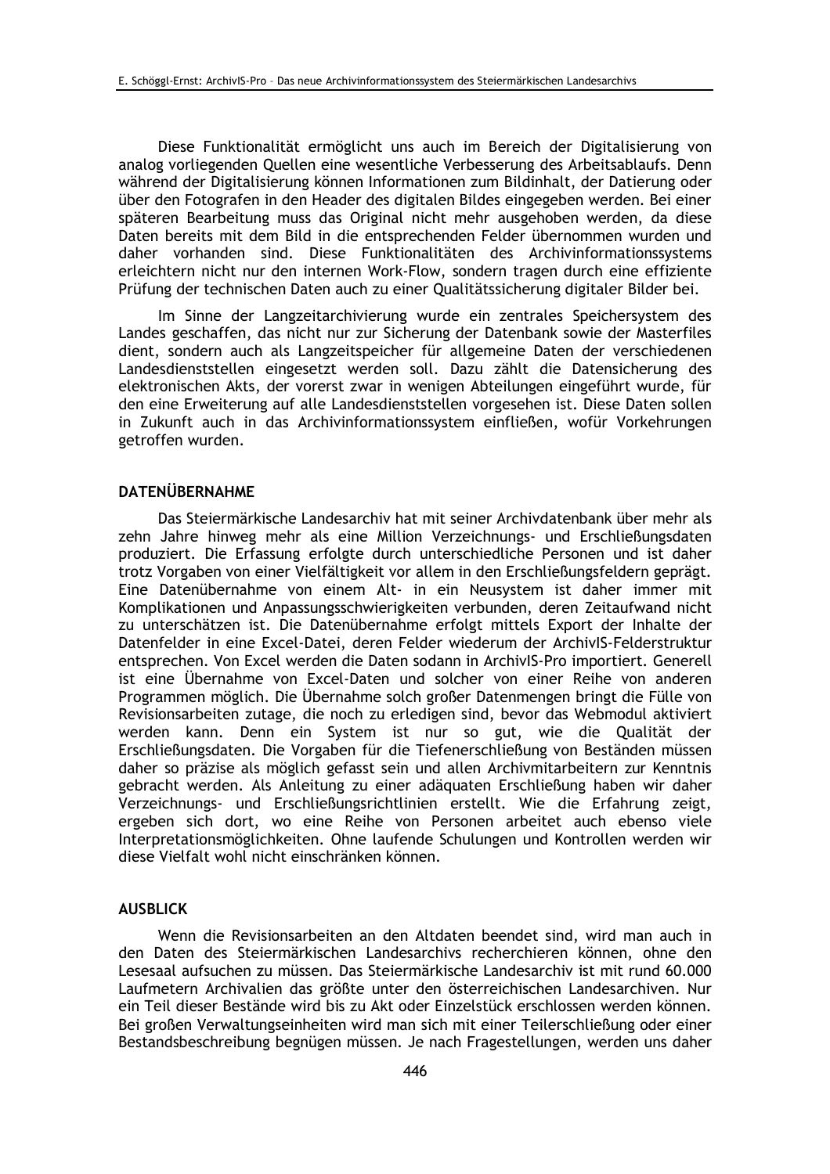Diese Funktionalität ermöglicht uns auch im Bereich der Digitalisierung von analog vorliegenden Quellen eine wesentliche Verbesserung des Arbeitsablaufs. Denn während der Digitalisierung können Informationen zum Bildinhalt, der Datierung oder über den Fotografen in den Header des digitalen Bildes eingegeben werden. Bei einer späteren Bearbeitung muss das Original nicht mehr ausgehoben werden, da diese Daten bereits mit dem Bild in die entsprechenden Felder übernommen wurden und daher vorhanden sind. Diese Funktionalitäten des Archivinformationssystems erleichtern nicht nur den internen Work-Flow, sondern tragen durch eine effiziente Prüfung der technischen Daten auch zu einer Qualitätssicherung digitaler Bilder bei.

Im Sinne der Langzeitarchivierung wurde ein zentrales Speichersystem des Landes geschaffen, das nicht nur zur Sicherung der Datenbank sowie der Masterfiles dient, sondern auch als Langzeitspeicher für allgemeine Daten der verschiedenen Landesdienststellen eingesetzt werden soll. Dazu zählt die Datensicherung des elektronischen Akts, der vorerst zwar in wenigen Abteilungen eingeführt wurde, für den eine Erweiterung auf alle Landesdienststellen vorgesehen ist. Diese Daten sollen in Zukunft auch in das Archivinformationssystem einfließen, wofür Vorkehrungen getroffen wurden.

## **DATENÜBERNAHME**

Das Steiermärkische Landesarchiv hat mit seiner Archivdatenbank über mehr als zehn Jahre hinweg mehr als eine Million Verzeichnungs- und Erschließungsdaten produziert. Die Erfassung erfolgte durch unterschiedliche Personen und ist daher trotz Vorgaben von einer Vielfältigkeit vor allem in den Erschließungsfeldern geprägt. Eine Datenübernahme von einem Alt- in ein Neusystem ist daher immer mit Komplikationen und Anpassungsschwierigkeiten verbunden, deren Zeitaufwand nicht zu unterschätzen ist. Die Datenübernahme erfolgt mittels Export der Inhalte der Datenfelder in eine Excel-Datei, deren Felder wiederum der ArchivIS-Felderstruktur entsprechen. Von Excel werden die Daten sodann in ArchivlS-Pro importiert. Generell ist eine Übernahme von Excel-Daten und solcher von einer Reihe von anderen Programmen möglich. Die Übernahme solch großer Datenmengen bringt die Fülle von Revisionsarbeiten zutage, die noch zu erledigen sind, bevor das Webmodul aktiviert werden kann. Denn ein System ist nur so gut, wie die Qualität der Erschließungsdaten. Die Vorgaben für die Tiefenerschließung von Beständen müssen daher so präzise als möglich gefasst sein und allen Archivmitarbeitern zur Kenntnis gebracht werden. Als Anleitung zu einer adäquaten Erschließung haben wir daher Verzeichnungs- und Erschließungsrichtlinien erstellt. Wie die Erfahrung zeigt, ergeben sich dort, wo eine Reihe von Personen arbeitet auch ebenso viele Interpretationsmöglichkeiten. Ohne laufende Schulungen und Kontrollen werden wir diese Vielfalt wohl nicht einschränken können.

#### **AUSBLICK**

Wenn die Revisionsarbeiten an den Altdaten beendet sind, wird man auch in den Daten des Steiermärkischen Landesarchivs recherchieren können, ohne den Lesesaal aufsuchen zu müssen. Das Steiermärkische Landesarchiv ist mit rund 60.000 Laufmetern Archivalien das größte unter den österreichischen Landesarchiven. Nur ein Teil dieser Bestände wird bis zu Akt oder Einzelstück erschlossen werden können. Bei großen Verwaltungseinheiten wird man sich mit einer Teilerschließung oder einer Bestandsbeschreibung begnügen müssen. Je nach Fragestellungen, werden uns daher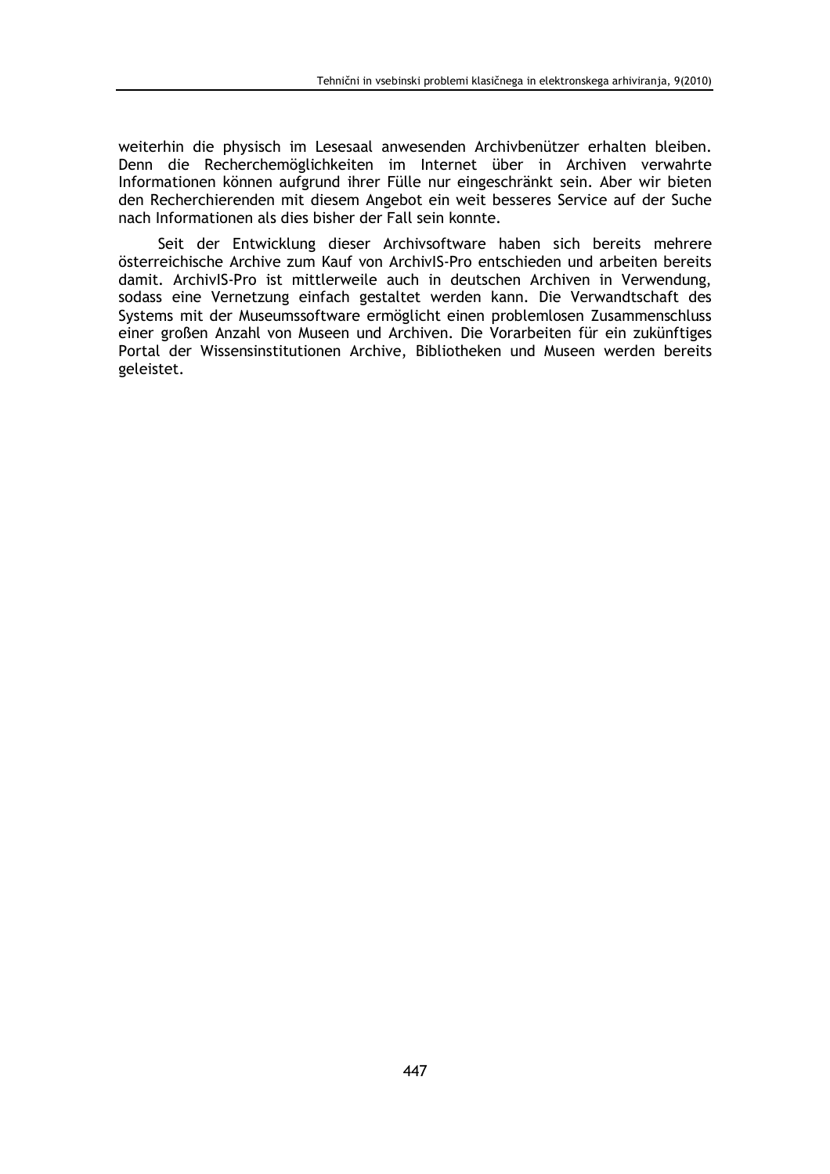weiterhin die physisch im Lesesaal anwesenden Archivbenützer erhalten bleiben. Denn die Recherchemöglichkeiten im Internet über in Archiven verwahrte Informationen können aufgrund ihrer Fülle nur eingeschränkt sein. Aber wir bieten den Recherchierenden mit diesem Angebot ein weit besseres Service auf der Suche nach Informationen als dies bisher der Fall sein konnte.

Seit der Entwicklung dieser Archivsoftware haben sich bereits mehrere österreichische Archive zum Kauf von ArchivIS-Pro entschieden und arbeiten bereits damit. ArchivIS-Pro ist mittlerweile auch in deutschen Archiven in Verwendung, sodass eine Vernetzung einfach gestaltet werden kann. Die Verwandtschaft des Systems mit der Museumssoftware ermöglicht einen problemlosen Zusammenschluss einer großen Anzahl von Museen und Archiven. Die Vorarbeiten für ein zukünftiges Portal der Wissensinstitutionen Archive, Bibliotheken und Museen werden bereits geleistet.